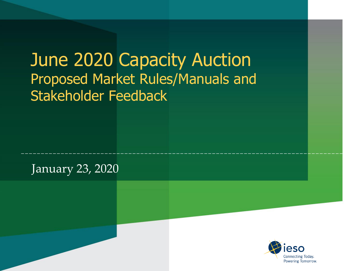| June 2020 Capacity Auction<br>Proposed Market Rules/Manuals and<br>Stakeholder Feedback |                                         |
|-----------------------------------------------------------------------------------------|-----------------------------------------|
| January 23, 2020                                                                        |                                         |
|                                                                                         | Connecting Todav.<br>Powering Tomorrow. |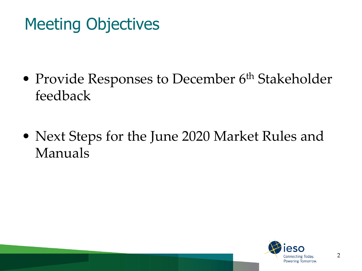## Meeting Objectives

- Provide Responses to December 6<sup>th</sup> Stakeholder feedback
- Next Steps for the June 2020 Market Rules and Manuals

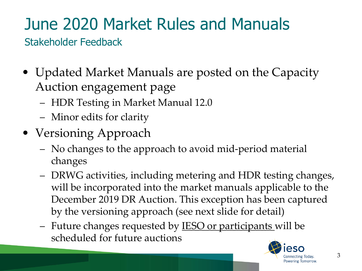# June 2020 Market Rules and Manuals

Stakeholder Feedback

- Updated Market Manuals are posted on the Capacity Auction engagement page
	- HDR Testing in Market Manual 12.0
	- Minor edits for clarity
- Versioning Approach
	- No changes to the approach to avoid mid-period material changes
	- DRWG activities, including metering and HDR testing changes, will be incorporated into the market manuals applicable to the December 2019 DR Auction. This exception has been captured by the versioning approach (see next slide for detail)
	- Future changes requested by **IESO** or participants will be scheduled for future auctions

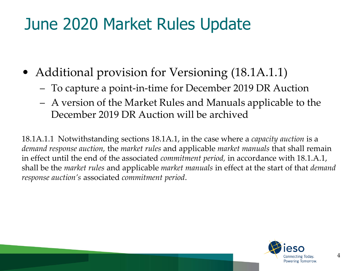### June 2020 Market Rules Update

- Additional provision for Versioning (18.1A.1.1)
	- To capture a point-in-time for December 2019 DR Auction
	- A version of the Market Rules and Manuals applicable to the December 2019 DR Auction will be archived

18.1A.1.1 Notwithstanding sections 18.1A.1, in the case where a *capacity auction* is a *demand response auction,* the *market rules* and applicable *market manuals* that shall remain in effect until the end of the associated *commitment period,* in accordance with 18.1.A.1, shall be the *market rules* and applicable *market manuals* in effect at the start of that *demand response auction's* associated *commitment period*.

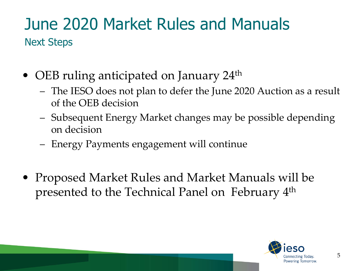#### June 2020 Market Rules and Manuals Next Steps

- OEB ruling anticipated on January 24<sup>th</sup>
	- The IESO does not plan to defer the June 2020 Auction as a result of the OEB decision
	- Subsequent Energy Market changes may be possible depending on decision
	- Energy Payments engagement will continue
- Proposed Market Rules and Market Manuals will be presented to the Technical Panel on February 4th